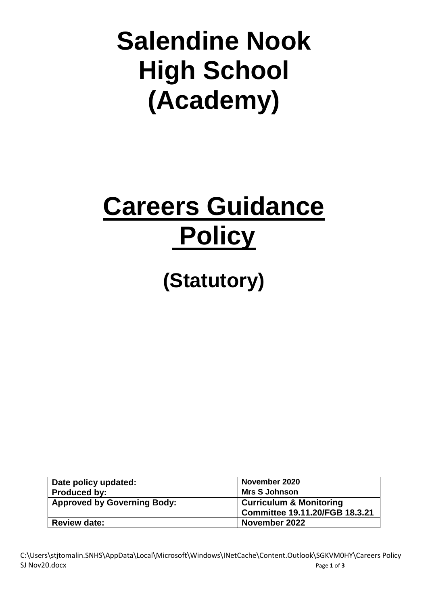# **Salendine Nook High School (Academy)**

# **Careers Guidance Policy**

**(Statutory)**

| Date policy updated:               | November 2020                      |
|------------------------------------|------------------------------------|
| <b>Produced by:</b>                | <b>Mrs S Johnson</b>               |
| <b>Approved by Governing Body:</b> | <b>Curriculum &amp; Monitoring</b> |
|                                    | Committee 19.11.20/FGB 18.3.21     |
| <b>Review date:</b>                | November 2022                      |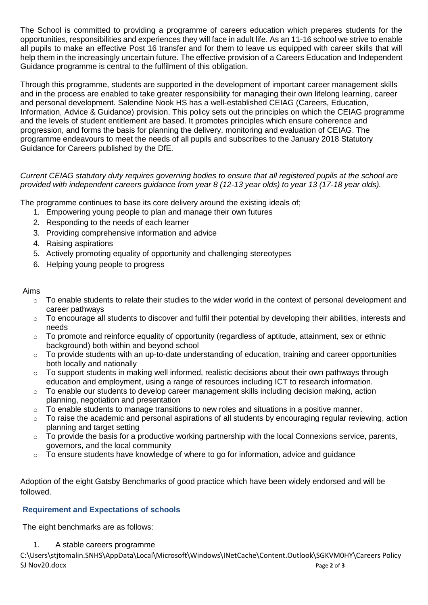The School is committed to providing a programme of careers education which prepares students for the opportunities, responsibilities and experiences they will face in adult life. As an 11-16 school we strive to enable all pupils to make an effective Post 16 transfer and for them to leave us equipped with career skills that will help them in the increasingly uncertain future. The effective provision of a Careers Education and Independent Guidance programme is central to the fulfilment of this obligation.

Through this programme, students are supported in the development of important career management skills and in the process are enabled to take greater responsibility for managing their own lifelong learning, career and personal development. Salendine Nook HS has a well-established CEIAG (Careers, Education, Information, Advice & Guidance) provision. This policy sets out the principles on which the CEIAG programme and the levels of student entitlement are based. It promotes principles which ensure coherence and progression, and forms the basis for planning the delivery, monitoring and evaluation of CEIAG. The programme endeavours to meet the needs of all pupils and subscribes to the January 2018 Statutory Guidance for Careers published by the DfE.

## *Current CEIAG statutory duty requires governing bodies to ensure that all registered pupils at the school are provided with independent careers guidance from year 8 (12-13 year olds) to year 13 (17-18 year olds).*

The programme continues to base its core delivery around the existing ideals of;

- 1. Empowering young people to plan and manage their own futures
- 2. Responding to the needs of each learner
- 3. Providing comprehensive information and advice
- 4. Raising aspirations
- 5. Actively promoting equality of opportunity and challenging stereotypes
- 6. Helping young people to progress

#### Aims

- $\circ$  To enable students to relate their studies to the wider world in the context of personal development and career pathways
- o To encourage all students to discover and fulfil their potential by developing their abilities, interests and needs
- $\circ$  To promote and reinforce equality of opportunity (regardless of aptitude, attainment, sex or ethnic background) both within and beyond school
- $\circ$  To provide students with an up-to-date understanding of education, training and career opportunities both locally and nationally
- $\circ$  To support students in making well informed, realistic decisions about their own pathways through education and employment, using a range of resources including ICT to research information.
- $\circ$  To enable our students to develop career management skills including decision making, action planning, negotiation and presentation
- $\circ$  To enable students to manage transitions to new roles and situations in a positive manner.
- o To raise the academic and personal aspirations of all students by encouraging regular reviewing, action planning and target setting
- $\circ$  To provide the basis for a productive working partnership with the local Connexions service, parents, governors, and the local community
- $\circ$  To ensure students have knowledge of where to go for information, advice and guidance

Adoption of the eight Gatsby Benchmarks of good practice which have been widely endorsed and will be followed.

#### **Requirement and Expectations of schools**

The eight benchmarks are as follows:

1. A stable careers programme

C:\Users\stjtomalin.SNHS\AppData\Local\Microsoft\Windows\INetCache\Content.Outlook\SGKVM0HY\Careers Policy SJ Nov20.docx Page 2 of **3**